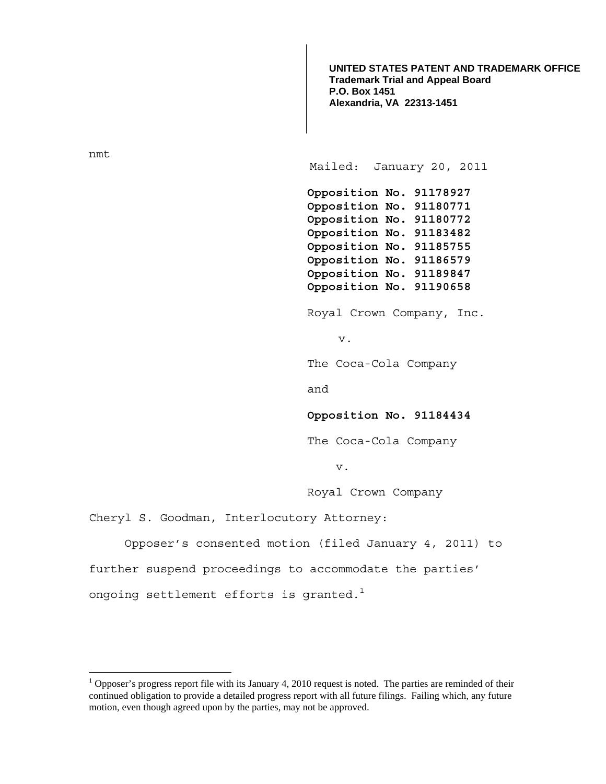Mailed: January 20, 2011 **Opposition No. 91178927 Opposition No. 91180771 Opposition No. 91180772 Opposition No. 91183482 Opposition No. 91185755 Opposition No. 91186579 Opposition No. 91189847 Opposition No. 91190658**  Royal Crown Company, Inc. v. The Coca-Cola Company and **Opposition No. 91184434**  The Coca-Cola Company v. Royal Crown Company Cheryl S. Goodman, Interlocutory Attorney: Opposer's consented motion (filed January 4, 2011) to further suspend proceedings to accommodate the parties' ongoing settlement efforts is granted. $1$ **UNITED STATES PATENT AND TRADEMARK OFFICE Trademark Trial and Appeal Board P.O. Box 1451 Alexandria, VA 22313-1451**

nmt

1

<sup>&</sup>lt;sup>1</sup> Opposer's progress report file with its January 4, 2010 request is noted. The parties are reminded of their continued obligation to provide a detailed progress report with all future filings. Failing which, any future motion, even though agreed upon by the parties, may not be approved.